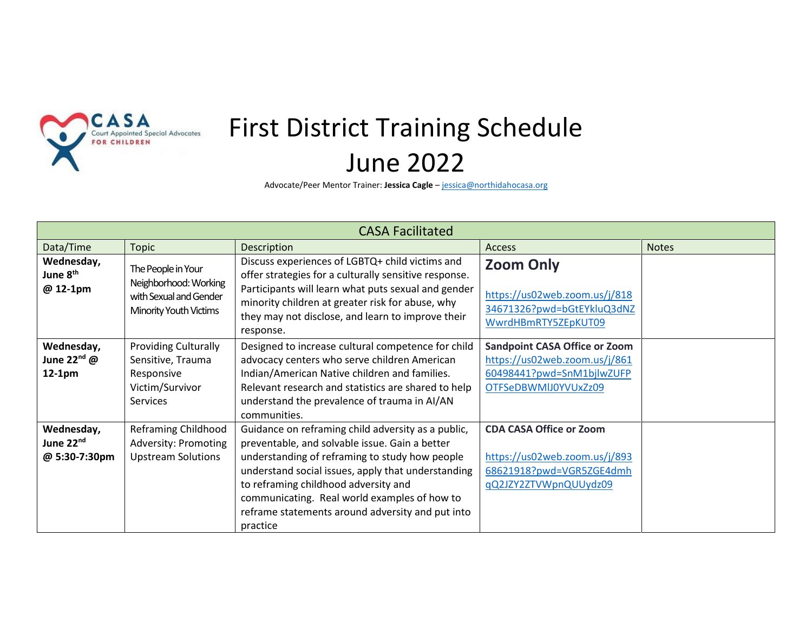

## First District Training Schedule June 2022

Advocate/Peer Mentor Trainer: **Jessica Cagle** – [jessica@northidahocasa.org](mailto:jessica@northidahocasa.org)

| <b>CASA Facilitated</b>                              |                                                                                                      |                                                                                                                                                                                                                                                                                                                                                                      |                                                                                                                            |              |  |  |  |
|------------------------------------------------------|------------------------------------------------------------------------------------------------------|----------------------------------------------------------------------------------------------------------------------------------------------------------------------------------------------------------------------------------------------------------------------------------------------------------------------------------------------------------------------|----------------------------------------------------------------------------------------------------------------------------|--------------|--|--|--|
| Data/Time                                            | <b>Topic</b>                                                                                         | Description                                                                                                                                                                                                                                                                                                                                                          | <b>Access</b>                                                                                                              | <b>Notes</b> |  |  |  |
| Wednesday,<br>June 8 <sup>th</sup><br>@ 12-1pm       | The People in Your<br>Neighborhood: Working<br>with Sexual and Gender<br>Minority Youth Victims      | Discuss experiences of LGBTQ+ child victims and<br>offer strategies for a culturally sensitive response.<br>Participants will learn what puts sexual and gender<br>minority children at greater risk for abuse, why<br>they may not disclose, and learn to improve their<br>response.                                                                                | <b>Zoom Only</b><br>https://us02web.zoom.us/j/818<br>34671326?pwd=bGtEYkluQ3dNZ<br>WwrdHBmRTY5ZEpKUT09                     |              |  |  |  |
| Wednesday,<br>June 22 <sup>nd</sup> @<br>12-1pm      | <b>Providing Culturally</b><br>Sensitive, Trauma<br>Responsive<br>Victim/Survivor<br><b>Services</b> | Designed to increase cultural competence for child<br>advocacy centers who serve children American<br>Indian/American Native children and families.<br>Relevant research and statistics are shared to help<br>understand the prevalence of trauma in AI/AN<br>communities.                                                                                           | <b>Sandpoint CASA Office or Zoom</b><br>https://us02web.zoom.us/j/861<br>60498441?pwd=SnM1bjlwZUFP<br>OTFSeDBWMIJ0YVUxZz09 |              |  |  |  |
| Wednesday,<br>June 22 <sup>nd</sup><br>@ 5:30-7:30pm | Reframing Childhood<br><b>Adversity: Promoting</b><br><b>Upstream Solutions</b>                      | Guidance on reframing child adversity as a public,<br>preventable, and solvable issue. Gain a better<br>understanding of reframing to study how people<br>understand social issues, apply that understanding<br>to reframing childhood adversity and<br>communicating. Real world examples of how to<br>reframe statements around adversity and put into<br>practice | <b>CDA CASA Office or Zoom</b><br>https://us02web.zoom.us/j/893<br>68621918?pwd=VGR5ZGE4dmh<br>gQ2JZY2ZTVWpnQUUydz09       |              |  |  |  |